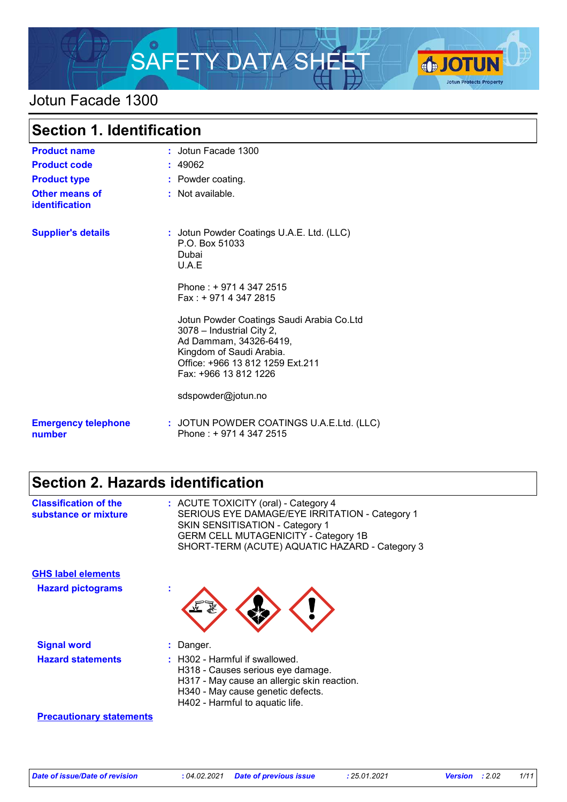

### Jotun Facade 1300

| <b>Section 1. Identification</b>        |                                                                                                                                                                                           |  |
|-----------------------------------------|-------------------------------------------------------------------------------------------------------------------------------------------------------------------------------------------|--|
| <b>Product name</b>                     | : Jotun Facade 1300                                                                                                                                                                       |  |
| <b>Product code</b>                     | : 49062                                                                                                                                                                                   |  |
| <b>Product type</b>                     | : Powder coating.                                                                                                                                                                         |  |
| <b>Other means of</b><br>identification | : Not available.                                                                                                                                                                          |  |
| <b>Supplier's details</b>               | : Jotun Powder Coatings U.A.E. Ltd. (LLC)<br>P.O. Box 51033<br>Dubai<br>U.A.E                                                                                                             |  |
|                                         | Phone: +971 4 347 2515<br>Fax: + 971 4 347 2815                                                                                                                                           |  |
|                                         | Jotun Powder Coatings Saudi Arabia Co.Ltd<br>3078 - Industrial City 2,<br>Ad Dammam, 34326-6419,<br>Kingdom of Saudi Arabia.<br>Office: +966 13 812 1259 Ext.211<br>Fax: +966 13 812 1226 |  |
|                                         | sdspowder@jotun.no                                                                                                                                                                        |  |
| <b>Emergency telephone</b><br>number    | : JOTUN POWDER COATINGS U.A.E.Ltd. (LLC)<br>Phone: +9714 347 2515                                                                                                                         |  |

# **Section 2. Hazards identification**

| <b>Classification of the</b><br>substance or mixture | : ACUTE TOXICITY (oral) - Category 4<br>SERIOUS EYE DAMAGE/EYE IRRITATION - Category 1<br>SKIN SENSITISATION - Category 1<br><b>GERM CELL MUTAGENICITY - Category 1B</b><br>SHORT-TERM (ACUTE) AQUATIC HAZARD - Category 3 |
|------------------------------------------------------|----------------------------------------------------------------------------------------------------------------------------------------------------------------------------------------------------------------------------|
| <b>GHS label elements</b>                            |                                                                                                                                                                                                                            |
| <b>Hazard pictograms</b>                             | t                                                                                                                                                                                                                          |
| <b>Signal word</b>                                   | Danger.                                                                                                                                                                                                                    |
| <b>Hazard statements</b>                             | $\therefore$ H302 - Harmful if swallowed.<br>H318 - Causes serious eye damage.<br>H317 - May cause an allergic skin reaction.<br>H340 - May cause genetic defects.<br>H402 - Harmful to aquatic life.                      |
| <b>Precautionary statements</b>                      |                                                                                                                                                                                                                            |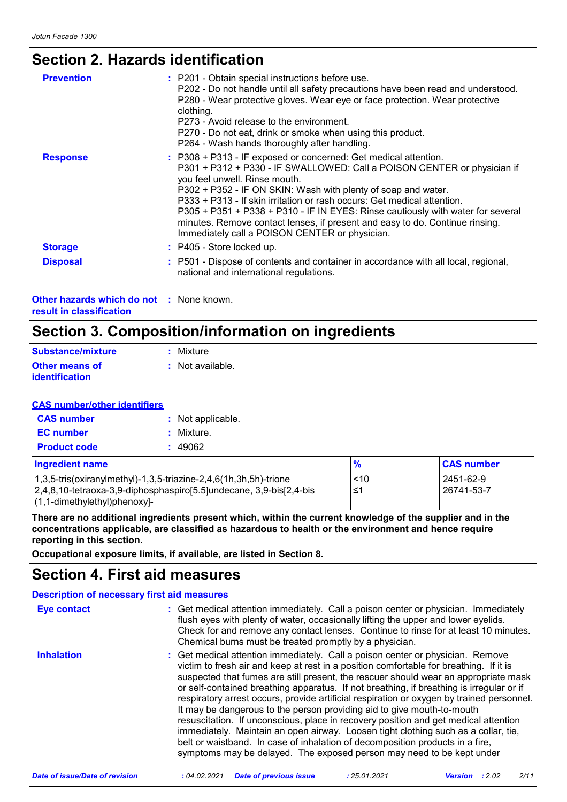## **Section 2. Hazards identification**

| <b>Prevention</b> | : P201 - Obtain special instructions before use.<br>P202 - Do not handle until all safety precautions have been read and understood.<br>P280 - Wear protective gloves. Wear eye or face protection. Wear protective<br>clothing.<br>P273 - Avoid release to the environment.<br>P270 - Do not eat, drink or smoke when using this product.<br>P264 - Wash hands thoroughly after handling.                                                                                                                                                   |
|-------------------|----------------------------------------------------------------------------------------------------------------------------------------------------------------------------------------------------------------------------------------------------------------------------------------------------------------------------------------------------------------------------------------------------------------------------------------------------------------------------------------------------------------------------------------------|
| <b>Response</b>   | : P308 + P313 - IF exposed or concerned: Get medical attention.<br>P301 + P312 + P330 - IF SWALLOWED: Call a POISON CENTER or physician if<br>you feel unwell. Rinse mouth.<br>P302 + P352 - IF ON SKIN: Wash with plenty of soap and water.<br>P333 + P313 - If skin irritation or rash occurs: Get medical attention.<br>P305 + P351 + P338 + P310 - IF IN EYES: Rinse cautiously with water for several<br>minutes. Remove contact lenses, if present and easy to do. Continue rinsing.<br>Immediately call a POISON CENTER or physician. |
| <b>Storage</b>    | : P405 - Store locked up.                                                                                                                                                                                                                                                                                                                                                                                                                                                                                                                    |
| <b>Disposal</b>   | : P501 - Dispose of contents and container in accordance with all local, regional,<br>national and international regulations.                                                                                                                                                                                                                                                                                                                                                                                                                |

**Other hazards which do not :** None known. **result in classification**

# **Section 3. Composition/information on ingredients**

| Substance/mixture     | : Mixture        |
|-----------------------|------------------|
| <b>Other means of</b> | : Not available. |
| <b>identification</b> |                  |

#### **CAS number/other identifiers**

| <b>CAS number</b>   | : Not applicable. |
|---------------------|-------------------|
| <b>EC</b> number    | : Mixture.        |
| <b>Product code</b> | : 49062           |

| <b>Ingredient name</b>                                                 | $\frac{9}{6}$ | <b>CAS number</b> |
|------------------------------------------------------------------------|---------------|-------------------|
| $1,3,5$ -tris(oxiranylmethyl)-1,3,5-triazine-2,4,6(1h,3h,5h)-trione    | ~10           | l 2451-62-9       |
| $2,4,8,10$ -tetraoxa-3,9-diphosphaspiro[5.5]undecane, 3,9-bis[2,4-bis] | ∍≤1           | 26741-53-7        |
| $(1, 1$ -dimethylethyl)phenoxy]-                                       |               |                   |

**There are no additional ingredients present which, within the current knowledge of the supplier and in the concentrations applicable, are classified as hazardous to health or the environment and hence require reporting in this section.**

**Occupational exposure limits, if available, are listed in Section 8.**

### **Section 4. First aid measures**

|                    | <b>Description of necessary first aid measures</b>                                                                                                                                                                                                                                                                                                                                                                                                                                                                                                                                                                                                                                                                                                                                                                                                                        |
|--------------------|---------------------------------------------------------------------------------------------------------------------------------------------------------------------------------------------------------------------------------------------------------------------------------------------------------------------------------------------------------------------------------------------------------------------------------------------------------------------------------------------------------------------------------------------------------------------------------------------------------------------------------------------------------------------------------------------------------------------------------------------------------------------------------------------------------------------------------------------------------------------------|
| <b>Eye contact</b> | : Get medical attention immediately. Call a poison center or physician. Immediately<br>flush eyes with plenty of water, occasionally lifting the upper and lower eyelids.<br>Check for and remove any contact lenses. Continue to rinse for at least 10 minutes.<br>Chemical burns must be treated promptly by a physician.                                                                                                                                                                                                                                                                                                                                                                                                                                                                                                                                               |
| <b>Inhalation</b>  | : Get medical attention immediately. Call a poison center or physician. Remove<br>victim to fresh air and keep at rest in a position comfortable for breathing. If it is<br>suspected that fumes are still present, the rescuer should wear an appropriate mask<br>or self-contained breathing apparatus. If not breathing, if breathing is irregular or if<br>respiratory arrest occurs, provide artificial respiration or oxygen by trained personnel.<br>It may be dangerous to the person providing aid to give mouth-to-mouth<br>resuscitation. If unconscious, place in recovery position and get medical attention<br>immediately. Maintain an open airway. Loosen tight clothing such as a collar, tie,<br>belt or waistband. In case of inhalation of decomposition products in a fire,<br>symptoms may be delayed. The exposed person may need to be kept under |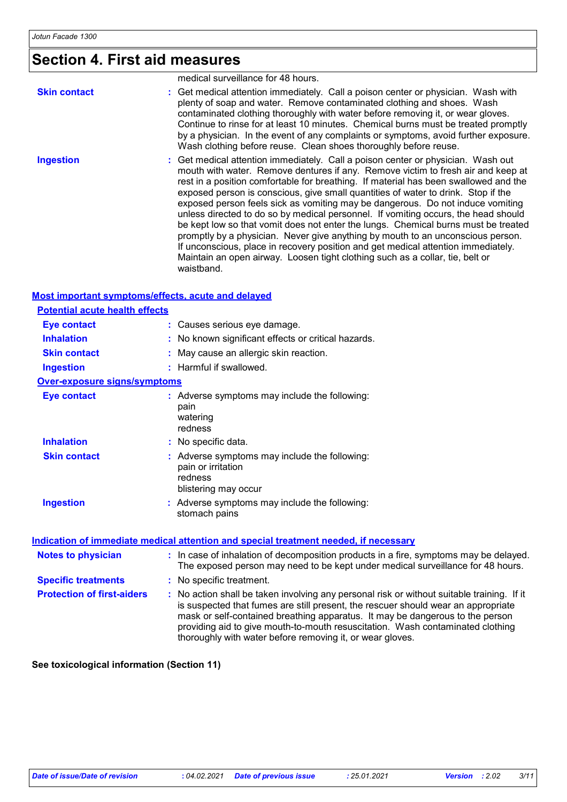# **Section 4. First aid measures**

|                     | medical surveillance for 48 hours.                                                                                                                                                                                                                                                                                                                                                                                                                                                                                                                                                                                                                                                                                                                                                                                                                                                     |
|---------------------|----------------------------------------------------------------------------------------------------------------------------------------------------------------------------------------------------------------------------------------------------------------------------------------------------------------------------------------------------------------------------------------------------------------------------------------------------------------------------------------------------------------------------------------------------------------------------------------------------------------------------------------------------------------------------------------------------------------------------------------------------------------------------------------------------------------------------------------------------------------------------------------|
| <b>Skin contact</b> | : Get medical attention immediately. Call a poison center or physician. Wash with<br>plenty of soap and water. Remove contaminated clothing and shoes. Wash<br>contaminated clothing thoroughly with water before removing it, or wear gloves.<br>Continue to rinse for at least 10 minutes. Chemical burns must be treated promptly<br>by a physician. In the event of any complaints or symptoms, avoid further exposure.<br>Wash clothing before reuse. Clean shoes thoroughly before reuse.                                                                                                                                                                                                                                                                                                                                                                                        |
| <b>Ingestion</b>    | : Get medical attention immediately. Call a poison center or physician. Wash out<br>mouth with water. Remove dentures if any. Remove victim to fresh air and keep at<br>rest in a position comfortable for breathing. If material has been swallowed and the<br>exposed person is conscious, give small quantities of water to drink. Stop if the<br>exposed person feels sick as vomiting may be dangerous. Do not induce vomiting<br>unless directed to do so by medical personnel. If vomiting occurs, the head should<br>be kept low so that vomit does not enter the lungs. Chemical burns must be treated<br>promptly by a physician. Never give anything by mouth to an unconscious person.<br>If unconscious, place in recovery position and get medical attention immediately.<br>Maintain an open airway. Loosen tight clothing such as a collar, tie, belt or<br>waistband. |

#### **Most important symptoms/effects, acute and delayed**

| <b>Potential acute health effects</b> |                                                                                                                                                                                                                                                                                                                                                                                                                 |
|---------------------------------------|-----------------------------------------------------------------------------------------------------------------------------------------------------------------------------------------------------------------------------------------------------------------------------------------------------------------------------------------------------------------------------------------------------------------|
| <b>Eye contact</b>                    | : Causes serious eye damage.                                                                                                                                                                                                                                                                                                                                                                                    |
| <b>Inhalation</b>                     | : No known significant effects or critical hazards.                                                                                                                                                                                                                                                                                                                                                             |
| <b>Skin contact</b>                   | : May cause an allergic skin reaction.                                                                                                                                                                                                                                                                                                                                                                          |
| <b>Ingestion</b>                      | : Harmful if swallowed.                                                                                                                                                                                                                                                                                                                                                                                         |
| <b>Over-exposure signs/symptoms</b>   |                                                                                                                                                                                                                                                                                                                                                                                                                 |
| <b>Eye contact</b>                    | : Adverse symptoms may include the following:<br>pain<br>watering<br>redness                                                                                                                                                                                                                                                                                                                                    |
| <b>Inhalation</b>                     | : No specific data.                                                                                                                                                                                                                                                                                                                                                                                             |
| <b>Skin contact</b>                   | : Adverse symptoms may include the following:<br>pain or irritation<br>redness<br>blistering may occur                                                                                                                                                                                                                                                                                                          |
| <b>Ingestion</b>                      | : Adverse symptoms may include the following:<br>stomach pains                                                                                                                                                                                                                                                                                                                                                  |
|                                       | <b>Indication of immediate medical attention and special treatment needed, if necessary</b>                                                                                                                                                                                                                                                                                                                     |
| <b>Notes to physician</b>             | : In case of inhalation of decomposition products in a fire, symptoms may be delayed.<br>The exposed person may need to be kept under medical surveillance for 48 hours.                                                                                                                                                                                                                                        |
| <b>Specific treatments</b>            | : No specific treatment.                                                                                                                                                                                                                                                                                                                                                                                        |
| <b>Protection of first-aiders</b>     | : No action shall be taken involving any personal risk or without suitable training. If it<br>is suspected that fumes are still present, the rescuer should wear an appropriate<br>mask or self-contained breathing apparatus. It may be dangerous to the person<br>providing aid to give mouth-to-mouth resuscitation. Wash contaminated clothing<br>thoroughly with water before removing it, or wear gloves. |

**See toxicological information (Section 11)**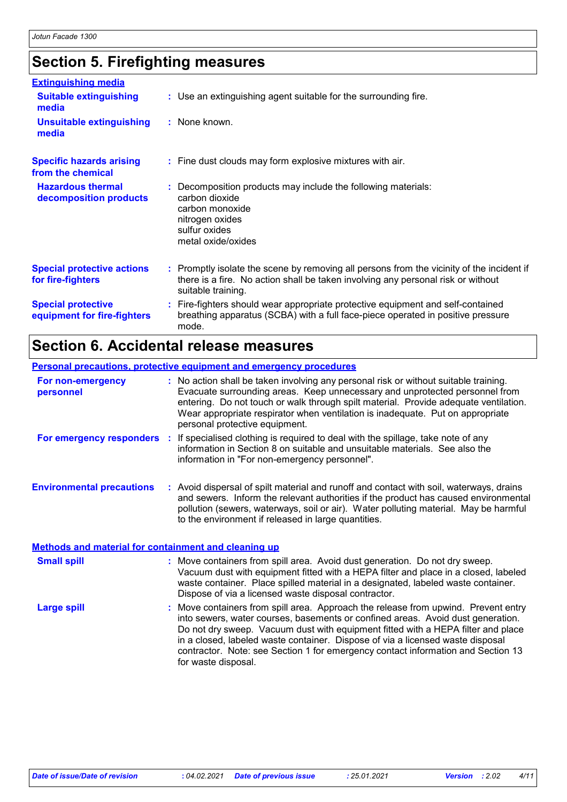# **Section 5. Firefighting measures**

| <b>Extinguishing media</b>                               |                                                                                                                                                                                                     |
|----------------------------------------------------------|-----------------------------------------------------------------------------------------------------------------------------------------------------------------------------------------------------|
| <b>Suitable extinguishing</b><br>media                   | : Use an extinguishing agent suitable for the surrounding fire.                                                                                                                                     |
| <b>Unsuitable extinguishing</b><br>media                 | : None known.                                                                                                                                                                                       |
| <b>Specific hazards arising</b><br>from the chemical     | : Fine dust clouds may form explosive mixtures with air.                                                                                                                                            |
| <b>Hazardous thermal</b><br>decomposition products       | : Decomposition products may include the following materials:<br>carbon dioxide<br>carbon monoxide<br>nitrogen oxides<br>sulfur oxides<br>metal oxide/oxides                                        |
| <b>Special protective actions</b><br>for fire-fighters   | : Promptly isolate the scene by removing all persons from the vicinity of the incident if<br>there is a fire. No action shall be taken involving any personal risk or without<br>suitable training. |
| <b>Special protective</b><br>equipment for fire-fighters | : Fire-fighters should wear appropriate protective equipment and self-contained<br>breathing apparatus (SCBA) with a full face-piece operated in positive pressure<br>mode.                         |

## **Section 6. Accidental release measures**

|                                                             | <b>Personal precautions, protective equipment and emergency procedures</b>                                                                                                                                                                                                                                                                                                      |
|-------------------------------------------------------------|---------------------------------------------------------------------------------------------------------------------------------------------------------------------------------------------------------------------------------------------------------------------------------------------------------------------------------------------------------------------------------|
| For non-emergency<br>personnel                              | : No action shall be taken involving any personal risk or without suitable training.<br>Evacuate surrounding areas. Keep unnecessary and unprotected personnel from<br>entering. Do not touch or walk through spilt material. Provide adequate ventilation.<br>Wear appropriate respirator when ventilation is inadequate. Put on appropriate<br>personal protective equipment. |
|                                                             | For emergency responders : If specialised clothing is required to deal with the spillage, take note of any<br>information in Section 8 on suitable and unsuitable materials. See also the<br>information in "For non-emergency personnel".                                                                                                                                      |
| <b>Environmental precautions</b>                            | : Avoid dispersal of spilt material and runoff and contact with soil, waterways, drains<br>and sewers. Inform the relevant authorities if the product has caused environmental<br>pollution (sewers, waterways, soil or air). Water polluting material. May be harmful<br>to the environment if released in large quantities.                                                   |
| <b>Methods and material for containment and cleaning up</b> |                                                                                                                                                                                                                                                                                                                                                                                 |

| <b>Small spill</b> | : Move containers from spill area. Avoid dust generation. Do not dry sweep.<br>Vacuum dust with equipment fitted with a HEPA filter and place in a closed, labeled<br>waste container. Place spilled material in a designated, labeled waste container.<br>Dispose of via a licensed waste disposal contractor.                                                                                                                                        |
|--------------------|--------------------------------------------------------------------------------------------------------------------------------------------------------------------------------------------------------------------------------------------------------------------------------------------------------------------------------------------------------------------------------------------------------------------------------------------------------|
| <b>Large spill</b> | : Move containers from spill area. Approach the release from upwind. Prevent entry<br>into sewers, water courses, basements or confined areas. Avoid dust generation.<br>Do not dry sweep. Vacuum dust with equipment fitted with a HEPA filter and place<br>in a closed, labeled waste container. Dispose of via a licensed waste disposal<br>contractor. Note: see Section 1 for emergency contact information and Section 13<br>for waste disposal. |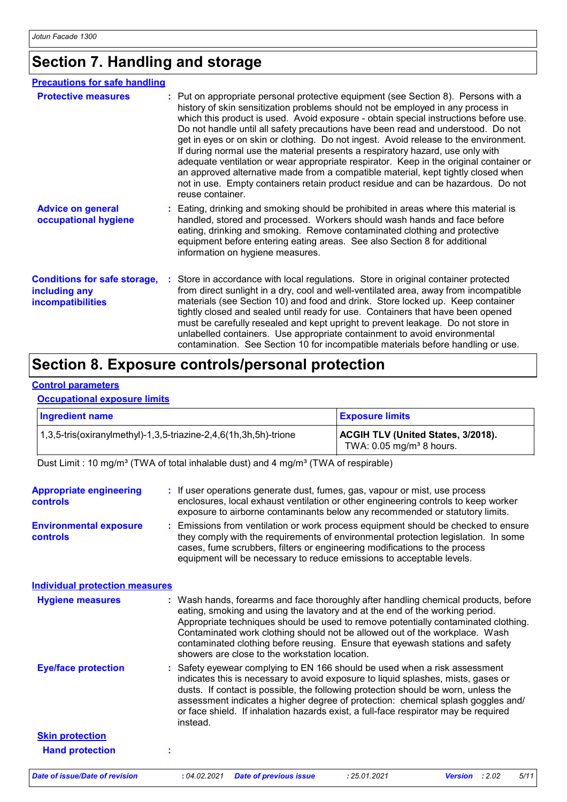# **Section 7. Handling and storage**

| <b>Precautions for safe handling</b>                                      |                                                                                                                                                                                                                                                                                                                                                                                                                                                                                                                                                                                                                                                                                                                                                                                                                    |
|---------------------------------------------------------------------------|--------------------------------------------------------------------------------------------------------------------------------------------------------------------------------------------------------------------------------------------------------------------------------------------------------------------------------------------------------------------------------------------------------------------------------------------------------------------------------------------------------------------------------------------------------------------------------------------------------------------------------------------------------------------------------------------------------------------------------------------------------------------------------------------------------------------|
| <b>Protective measures</b>                                                | : Put on appropriate personal protective equipment (see Section 8). Persons with a<br>history of skin sensitization problems should not be employed in any process in<br>which this product is used. Avoid exposure - obtain special instructions before use.<br>Do not handle until all safety precautions have been read and understood. Do not<br>get in eyes or on skin or clothing. Do not ingest. Avoid release to the environment.<br>If during normal use the material presents a respiratory hazard, use only with<br>adequate ventilation or wear appropriate respirator. Keep in the original container or<br>an approved alternative made from a compatible material, kept tightly closed when<br>not in use. Empty containers retain product residue and can be hazardous. Do not<br>reuse container. |
| <b>Advice on general</b><br>occupational hygiene                          | : Eating, drinking and smoking should be prohibited in areas where this material is<br>handled, stored and processed. Workers should wash hands and face before<br>eating, drinking and smoking. Remove contaminated clothing and protective<br>equipment before entering eating areas. See also Section 8 for additional<br>information on hygiene measures.                                                                                                                                                                                                                                                                                                                                                                                                                                                      |
| <b>Conditions for safe storage,</b><br>including any<br>incompatibilities | : Store in accordance with local regulations. Store in original container protected<br>from direct sunlight in a dry, cool and well-ventilated area, away from incompatible<br>materials (see Section 10) and food and drink. Store locked up. Keep container<br>tightly closed and sealed until ready for use. Containers that have been opened<br>must be carefully resealed and kept upright to prevent leakage. Do not store in<br>unlabelled containers. Use appropriate containment to avoid environmental<br>contamination. See Section 10 for incompatible materials before handling or use.                                                                                                                                                                                                               |

### **Section 8. Exposure controls/personal protection**

#### **Control parameters**

#### **Occupational exposure limits**

| <b>Ingredient name</b>                                           | <b>Exposure limits</b>                                                              |
|------------------------------------------------------------------|-------------------------------------------------------------------------------------|
| 1,3,5-tris(oxiranylmethyl)-1,3,5-triazine-2,4,6(1h,3h,5h)-trione | <b>ACGIH TLV (United States, 3/2018).</b><br>TWA: $0.05$ mg/m <sup>3</sup> 8 hours. |

Dust Limit : 10 mg/m<sup>3</sup> (TWA of total inhalable dust) and 4 mg/m<sup>3</sup> (TWA of respirable)

| <b>Appropriate engineering</b><br><b>controls</b><br><b>Environmental exposure</b><br>controls | : If user operations generate dust, fumes, gas, vapour or mist, use process<br>enclosures, local exhaust ventilation or other engineering controls to keep worker<br>exposure to airborne contaminants below any recommended or statutory limits.<br>: Emissions from ventilation or work process equipment should be checked to ensure<br>they comply with the requirements of environmental protection legislation. In some<br>cases, fume scrubbers, filters or engineering modifications to the process<br>equipment will be necessary to reduce emissions to acceptable levels. |
|------------------------------------------------------------------------------------------------|--------------------------------------------------------------------------------------------------------------------------------------------------------------------------------------------------------------------------------------------------------------------------------------------------------------------------------------------------------------------------------------------------------------------------------------------------------------------------------------------------------------------------------------------------------------------------------------|
| <b>Individual protection measures</b>                                                          |                                                                                                                                                                                                                                                                                                                                                                                                                                                                                                                                                                                      |
| <b>Hygiene measures</b>                                                                        | : Wash hands, forearms and face thoroughly after handling chemical products, before<br>eating, smoking and using the lavatory and at the end of the working period.<br>Appropriate techniques should be used to remove potentially contaminated clothing.<br>Contaminated work clothing should not be allowed out of the workplace. Wash<br>contaminated clothing before reusing. Ensure that eyewash stations and safety<br>showers are close to the workstation location.                                                                                                          |
| <b>Eye/face protection</b>                                                                     | : Safety eyewear complying to EN 166 should be used when a risk assessment<br>indicates this is necessary to avoid exposure to liquid splashes, mists, gases or<br>dusts. If contact is possible, the following protection should be worn, unless the<br>assessment indicates a higher degree of protection: chemical splash goggles and/<br>or face shield. If inhalation hazards exist, a full-face respirator may be required<br>instead.                                                                                                                                         |
| <b>Skin protection</b>                                                                         |                                                                                                                                                                                                                                                                                                                                                                                                                                                                                                                                                                                      |
| <b>Hand protection</b>                                                                         | t                                                                                                                                                                                                                                                                                                                                                                                                                                                                                                                                                                                    |
| <b>Date of issue/Date of revision</b>                                                          | : 04.02.2021<br>: 25.01.2021<br>5/11<br><b>Date of previous issue</b><br>Version : 2.02                                                                                                                                                                                                                                                                                                                                                                                                                                                                                              |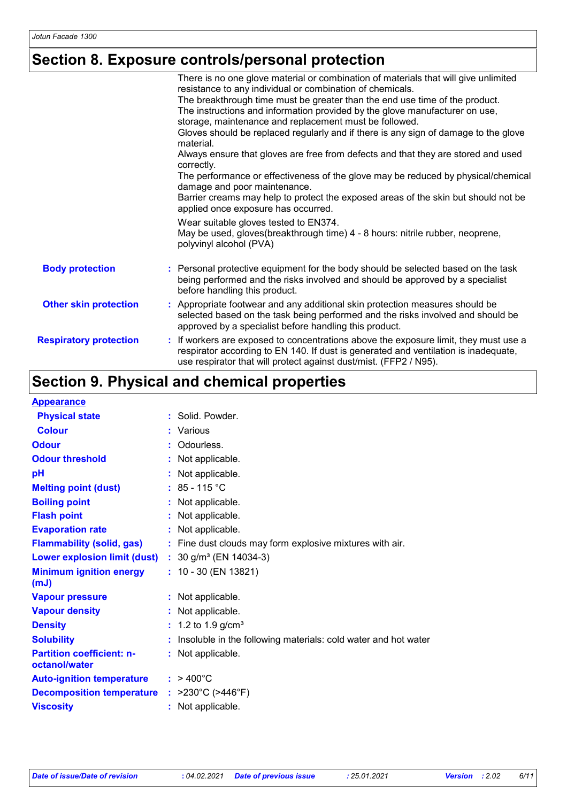# **Section 8. Exposure controls/personal protection**

|                               | There is no one glove material or combination of materials that will give unlimited                                                                                                                                                              |
|-------------------------------|--------------------------------------------------------------------------------------------------------------------------------------------------------------------------------------------------------------------------------------------------|
|                               | resistance to any individual or combination of chemicals.                                                                                                                                                                                        |
|                               | The breakthrough time must be greater than the end use time of the product.                                                                                                                                                                      |
|                               | The instructions and information provided by the glove manufacturer on use,                                                                                                                                                                      |
|                               | storage, maintenance and replacement must be followed.                                                                                                                                                                                           |
|                               | Gloves should be replaced regularly and if there is any sign of damage to the glove<br>material.                                                                                                                                                 |
|                               | Always ensure that gloves are free from defects and that they are stored and used<br>correctly.                                                                                                                                                  |
|                               | The performance or effectiveness of the glove may be reduced by physical/chemical<br>damage and poor maintenance.                                                                                                                                |
|                               | Barrier creams may help to protect the exposed areas of the skin but should not be<br>applied once exposure has occurred.                                                                                                                        |
|                               | Wear suitable gloves tested to EN374.<br>May be used, gloves(breakthrough time) 4 - 8 hours: nitrile rubber, neoprene,<br>polyvinyl alcohol (PVA)                                                                                                |
| <b>Body protection</b>        | : Personal protective equipment for the body should be selected based on the task<br>being performed and the risks involved and should be approved by a specialist<br>before handling this product.                                              |
| <b>Other skin protection</b>  | Appropriate footwear and any additional skin protection measures should be<br>selected based on the task being performed and the risks involved and should be<br>approved by a specialist before handling this product.                          |
| <b>Respiratory protection</b> | : If workers are exposed to concentrations above the exposure limit, they must use a<br>respirator according to EN 140. If dust is generated and ventilation is inadequate,<br>use respirator that will protect against dust/mist. (FFP2 / N95). |
|                               |                                                                                                                                                                                                                                                  |

# **Section 9. Physical and chemical properties**

| <b>Appearance</b>                                 |                                                                |
|---------------------------------------------------|----------------------------------------------------------------|
| <b>Physical state</b>                             | : Solid. Powder.                                               |
| <b>Colour</b>                                     | : Various                                                      |
| <b>Odour</b>                                      | : Odourless.                                                   |
| <b>Odour threshold</b>                            | Not applicable.                                                |
| pH                                                | Not applicable.                                                |
| <b>Melting point (dust)</b>                       | : $85 - 115$ °C                                                |
| <b>Boiling point</b>                              | : Not applicable.                                              |
| <b>Flash point</b>                                | Not applicable.                                                |
| <b>Evaporation rate</b>                           | : Not applicable.                                              |
| <b>Flammability (solid, gas)</b>                  | : Fine dust clouds may form explosive mixtures with air.       |
| <b>Lower explosion limit (dust)</b>               | : $30$ g/m <sup>3</sup> (EN 14034-3)                           |
| <b>Minimum ignition energy</b><br>(mJ)            | $: 10 - 30$ (EN 13821)                                         |
| <b>Vapour pressure</b>                            | : Not applicable.                                              |
| <b>Vapour density</b>                             | : Not applicable.                                              |
| <b>Density</b>                                    | : 1.2 to 1.9 $g/cm^{3}$                                        |
| <b>Solubility</b>                                 | Insoluble in the following materials: cold water and hot water |
| <b>Partition coefficient: n-</b><br>octanol/water | : Not applicable.                                              |
| <b>Auto-ignition temperature</b>                  | $: 9400^{\circ}$ C                                             |
| <b>Decomposition temperature</b>                  | : $>230^{\circ}$ C ( $>446^{\circ}$ F)                         |
| <b>Viscosity</b>                                  | : Not applicable.                                              |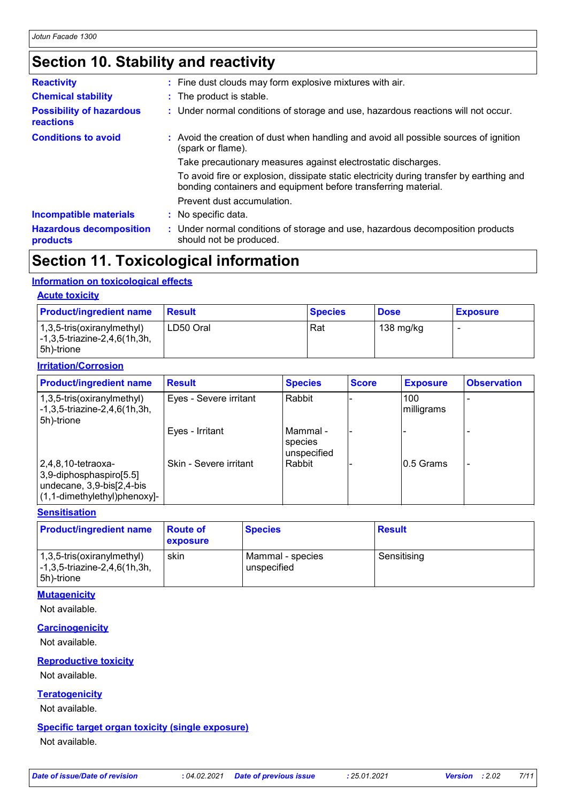# **Section 10. Stability and reactivity**

| <b>Reactivity</b>                            | : Fine dust clouds may form explosive mixtures with air.                                                                                                   |  |  |
|----------------------------------------------|------------------------------------------------------------------------------------------------------------------------------------------------------------|--|--|
| <b>Chemical stability</b>                    | : The product is stable.                                                                                                                                   |  |  |
| <b>Possibility of hazardous</b><br>reactions | : Under normal conditions of storage and use, hazardous reactions will not occur.                                                                          |  |  |
| <b>Conditions to avoid</b>                   | : Avoid the creation of dust when handling and avoid all possible sources of ignition<br>(spark or flame).                                                 |  |  |
|                                              | Take precautionary measures against electrostatic discharges.                                                                                              |  |  |
|                                              | To avoid fire or explosion, dissipate static electricity during transfer by earthing and<br>bonding containers and equipment before transferring material. |  |  |
|                                              | Prevent dust accumulation.                                                                                                                                 |  |  |
| <b>Incompatible materials</b>                | : No specific data.                                                                                                                                        |  |  |
| <b>Hazardous decomposition</b><br>products   | : Under normal conditions of storage and use, hazardous decomposition products<br>should not be produced.                                                  |  |  |

## **Section 11. Toxicological information**

#### **Information on toxicological effects**

#### **Acute toxicity**

| <b>Product/ingredient name</b>                                              | <b>Result</b> | <b>Species</b> | <b>Dose</b> | <b>Exposure</b> |
|-----------------------------------------------------------------------------|---------------|----------------|-------------|-----------------|
| 1,3,5-tris(oxiranylmethyl)<br> -1,3,5-triazine-2,4,6(1h,3h,<br>l 5h)-trione | LD50 Oral     | Rat            | 138 mg/kg   |                 |

### **Irritation/Corrosion**

| <b>Product/ingredient name</b>                                                                                     | <b>Result</b>          | <b>Species</b>                       | <b>Score</b> | <b>Exposure</b>   | <b>Observation</b> |
|--------------------------------------------------------------------------------------------------------------------|------------------------|--------------------------------------|--------------|-------------------|--------------------|
| $(1,3,5\text{-tris}(oxiranylmethyl))$<br>$\left[-1, 3, 5\right]$ -triazine-2,4,6(1h,3h,<br>5h)-trione              | Eyes - Severe irritant | Rabbit                               |              | 100<br>milligrams |                    |
|                                                                                                                    | Eyes - Irritant        | l Mammal -<br>species<br>unspecified |              |                   |                    |
| $ 2,4,8,10$ -tetraoxa-<br>3,9-diphosphaspiro[5.5]<br>undecane, 3,9-bis[2,4-bis<br>$(1, 1$ -dimethylethyl)phenoxy]- | Skin - Severe irritant | Rabbit                               |              | 0.5 Grams         |                    |

#### **Sensitisation**

| <b>Product/ingredient name</b>                                                                     | <b>Route of</b><br><b>exposure</b> | <b>Species</b>                  | <b>Result</b> |
|----------------------------------------------------------------------------------------------------|------------------------------------|---------------------------------|---------------|
| $(1,3,5\text{-tris}(\text{oxirany}(\text{method})))$<br>-1,3,5-triazine-2,4,6(1h,3h,<br>5h)-trione | skin                               | Mammal - species<br>unspecified | Sensitising   |

#### **Mutagenicity**

Not available.

#### **Carcinogenicity**

Not available.

#### **Reproductive toxicity**

Not available.

#### **Teratogenicity**

Not available.

#### **Specific target organ toxicity (single exposure)**

Not available.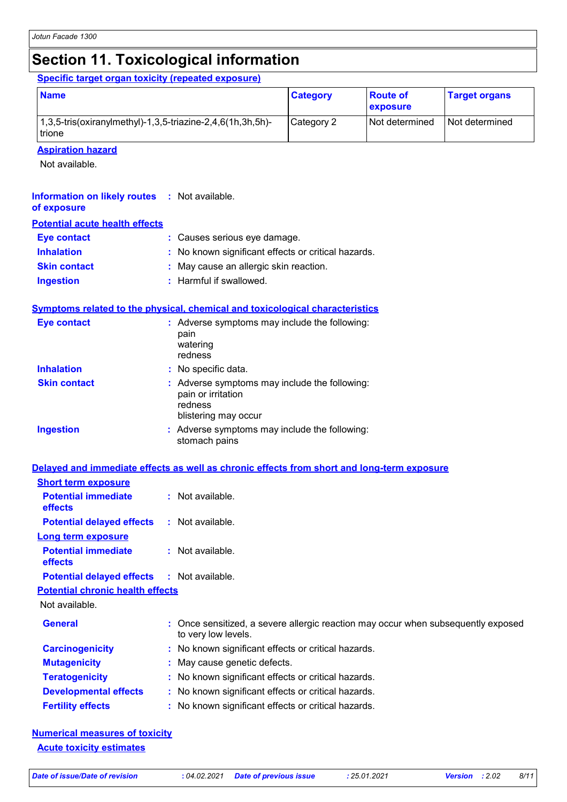## **Section 11. Toxicological information**

**Specific target organ toxicity (repeated exposure)**

| <b>Name</b>                                                                             | <b>Category</b> | <b>Route of</b><br><b>exposure</b> | <b>Target organs</b> |
|-----------------------------------------------------------------------------------------|-----------------|------------------------------------|----------------------|
| $(1,3,5\text{-tris}(oxiranylmethyl)-1,3,5\text{-triazine}-2,4,6(1h,3h,5h)-$<br>l trione | Category 2      | <b>Not determined</b>              | l Not determined     |

**Aspiration hazard**

Not available.

#### **Information on likely routes :** Not available. **of exposure**

| <b>Potential acute health effects</b> |                                                     |
|---------------------------------------|-----------------------------------------------------|
| Eye contact                           | : Causes serious eye damage.                        |
| <b>Inhalation</b>                     | : No known significant effects or critical hazards. |

| <b>Skin contact</b> | * May cause an allergic skin reaction. |
|---------------------|----------------------------------------|
|---------------------|----------------------------------------|

**Ingestion :** Harmful if swallowed.

#### **Symptoms related to the physical, chemical and toxicological characteristics**

| <b>Eye contact</b>  | : Adverse symptoms may include the following:<br>pain<br>watering<br>redness                           |
|---------------------|--------------------------------------------------------------------------------------------------------|
| <b>Inhalation</b>   | : No specific data.                                                                                    |
| <b>Skin contact</b> | : Adverse symptoms may include the following:<br>pain or irritation<br>redness<br>blistering may occur |
| <b>Ingestion</b>    | : Adverse symptoms may include the following:<br>stomach pains                                         |

| <u>Delaved and immediate effects as well as chronic effects from short and long-term exposure</u> |  |
|---------------------------------------------------------------------------------------------------|--|
|---------------------------------------------------------------------------------------------------|--|

| <b>Short term exposure</b>                        |                                                                                                          |
|---------------------------------------------------|----------------------------------------------------------------------------------------------------------|
| <b>Potential immediate</b><br><b>effects</b>      | $\therefore$ Not available.                                                                              |
| <b>Potential delayed effects</b>                  | : Not available.                                                                                         |
| <b>Long term exposure</b>                         |                                                                                                          |
| <b>Potential immediate</b><br><b>effects</b>      | : Not available.                                                                                         |
| <b>Potential delayed effects : Not available.</b> |                                                                                                          |
| <b>Potential chronic health effects</b>           |                                                                                                          |
| Not available.                                    |                                                                                                          |
| <b>General</b>                                    | : Once sensitized, a severe allergic reaction may occur when subsequently exposed<br>to very low levels. |
| <b>Carcinogenicity</b>                            | : No known significant effects or critical hazards.                                                      |
| <b>Mutagenicity</b>                               | : May cause genetic defects.                                                                             |
| <b>Teratogenicity</b>                             | : No known significant effects or critical hazards.                                                      |
| <b>Developmental effects</b>                      | : No known significant effects or critical hazards.                                                      |
| <b>Fertility effects</b>                          | : No known significant effects or critical hazards.                                                      |

**Numerical measures of toxicity Acute toxicity estimates**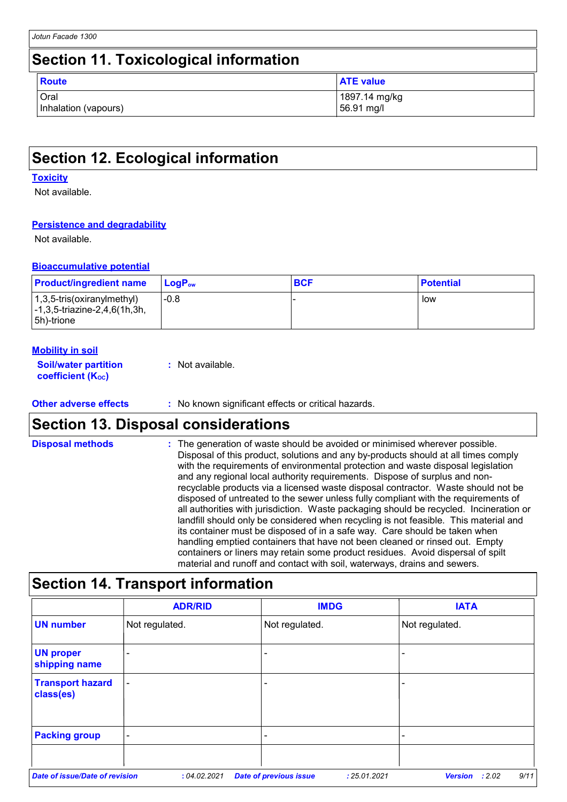## **Section 12. Ecological information**

#### **Toxicity**

Not available.

### **Persistence and degradability**

Not available.

#### **Bioaccumulative potential**

| <b>Product/ingredient name</b>                                                                   | LogP <sub>ow</sub> | <b>BCF</b> | <b>Potential</b> |
|--------------------------------------------------------------------------------------------------|--------------------|------------|------------------|
| $(1,3,5-tris(oxiranylmethyl))$<br>$\left[-1, 3, 5\right]$ -triazine-2,4,6(1h,3h,<br>l 5h)-trione | $-0.8$             |            | low              |

| <b>Mobility in soil</b>                                 |                  |
|---------------------------------------------------------|------------------|
| <b>Soil/water partition</b><br><b>coefficient (Koc)</b> | : Not available. |

**Other adverse effects :** No known significant effects or critical hazards.

### **Section 13. Disposal considerations**

The generation of waste should be avoided or minimised wherever possible. Disposal of this product, solutions and any by-products should at all times comply with the requirements of environmental protection and waste disposal legislation and any regional local authority requirements. Dispose of surplus and nonrecyclable products via a licensed waste disposal contractor. Waste should not be disposed of untreated to the sewer unless fully compliant with the requirements of all authorities with jurisdiction. Waste packaging should be recycled. Incineration or landfill should only be considered when recycling is not feasible. This material and its container must be disposed of in a safe way. Care should be taken when handling emptied containers that have not been cleaned or rinsed out. Empty containers or liners may retain some product residues. Avoid dispersal of spilt material and runoff and contact with soil, waterways, drains and sewers. **Disposal methods :**

### **Section 14. Transport information**

|                                       | <b>ADR/RID</b> | <b>IMDG</b>                   | <b>IATA</b>                                      |
|---------------------------------------|----------------|-------------------------------|--------------------------------------------------|
| <b>UN number</b>                      | Not regulated. | Not regulated.                | Not regulated.                                   |
| <b>UN proper</b><br>shipping name     | ۰              | -                             |                                                  |
| <b>Transport hazard</b><br>class(es)  | $\blacksquare$ |                               |                                                  |
| <b>Packing group</b>                  | $\blacksquare$ |                               |                                                  |
| <b>Date of issue/Date of revision</b> | : 04.02.2021   | <b>Date of previous issue</b> | 9/11<br>: 25.01.2021<br><b>Version</b><br>: 2.02 |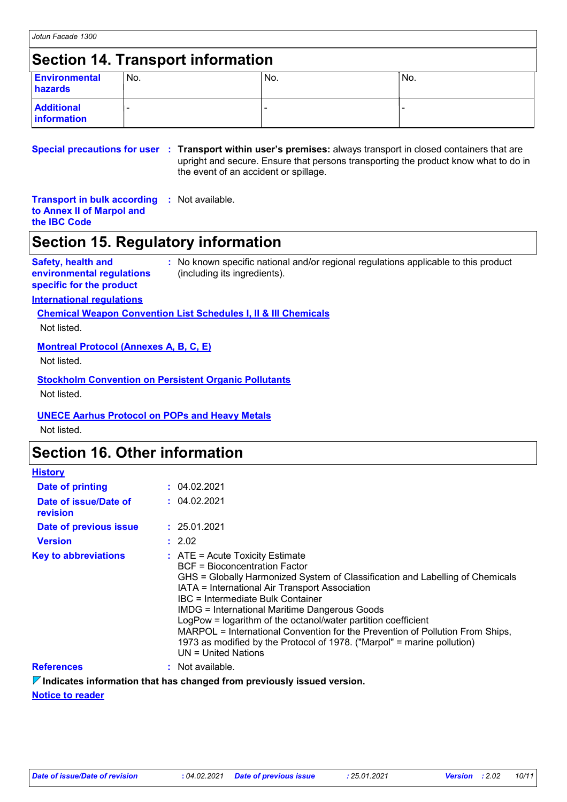### **Section 14. Transport information**

| <b>Environmental</b><br>hazards  | 'No. | No. | 'No. |
|----------------------------------|------|-----|------|
| <b>Additional</b><br>information |      |     |      |

**Special precautions for user Transport within user's premises:** always transport in closed containers that are **:** upright and secure. Ensure that persons transporting the product know what to do in the event of an accident or spillage.

### **Transport in bulk according :** Not available. **to Annex II of Marpol and**

**the IBC Code**

## **Section 15. Regulatory information**

#### **Safety, health and environmental regulations specific for the product**

**:** No known specific national and/or regional regulations applicable to this product (including its ingredients).

### **International regulations**

### **Chemical Weapon Convention List Schedules I, II & III Chemicals**

Not listed.

### **Montreal Protocol (Annexes A, B, C, E)**

Not listed.

### **Stockholm Convention on Persistent Organic Pollutants**

Not listed.

### **UNECE Aarhus Protocol on POPs and Heavy Metals**

Not listed.

### **Section 16. Other information**

| <b>History</b>                    |                                                                                                                                                                                                                                                                                                                                                                                                                                                                                                                                                                   |
|-----------------------------------|-------------------------------------------------------------------------------------------------------------------------------------------------------------------------------------------------------------------------------------------------------------------------------------------------------------------------------------------------------------------------------------------------------------------------------------------------------------------------------------------------------------------------------------------------------------------|
| Date of printing                  | : 04.02.2021                                                                                                                                                                                                                                                                                                                                                                                                                                                                                                                                                      |
| Date of issue/Date of<br>revision | : 04.02.2021                                                                                                                                                                                                                                                                                                                                                                                                                                                                                                                                                      |
| Date of previous issue            | : 25.01.2021                                                                                                                                                                                                                                                                                                                                                                                                                                                                                                                                                      |
| <b>Version</b>                    | : 2.02                                                                                                                                                                                                                                                                                                                                                                                                                                                                                                                                                            |
| <b>Key to abbreviations</b>       | $\therefore$ ATE = Acute Toxicity Estimate<br>BCF = Bioconcentration Factor<br>GHS = Globally Harmonized System of Classification and Labelling of Chemicals<br>IATA = International Air Transport Association<br>IBC = Intermediate Bulk Container<br><b>IMDG = International Maritime Dangerous Goods</b><br>LogPow = logarithm of the octanol/water partition coefficient<br>MARPOL = International Convention for the Prevention of Pollution From Ships,<br>1973 as modified by the Protocol of 1978. ("Marpol" = marine pollution)<br>$UN = United Nations$ |
| <b>References</b>                 | : Not available.                                                                                                                                                                                                                                                                                                                                                                                                                                                                                                                                                  |

**Indicates information that has changed from previously issued version.**

**Notice to reader**